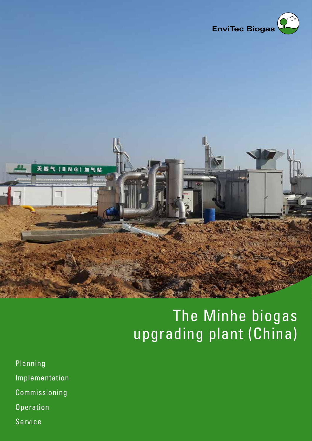



## The Minhe biogas upgrading plant (China)

- Planning Implementation Commissioning **Operation**
- Service